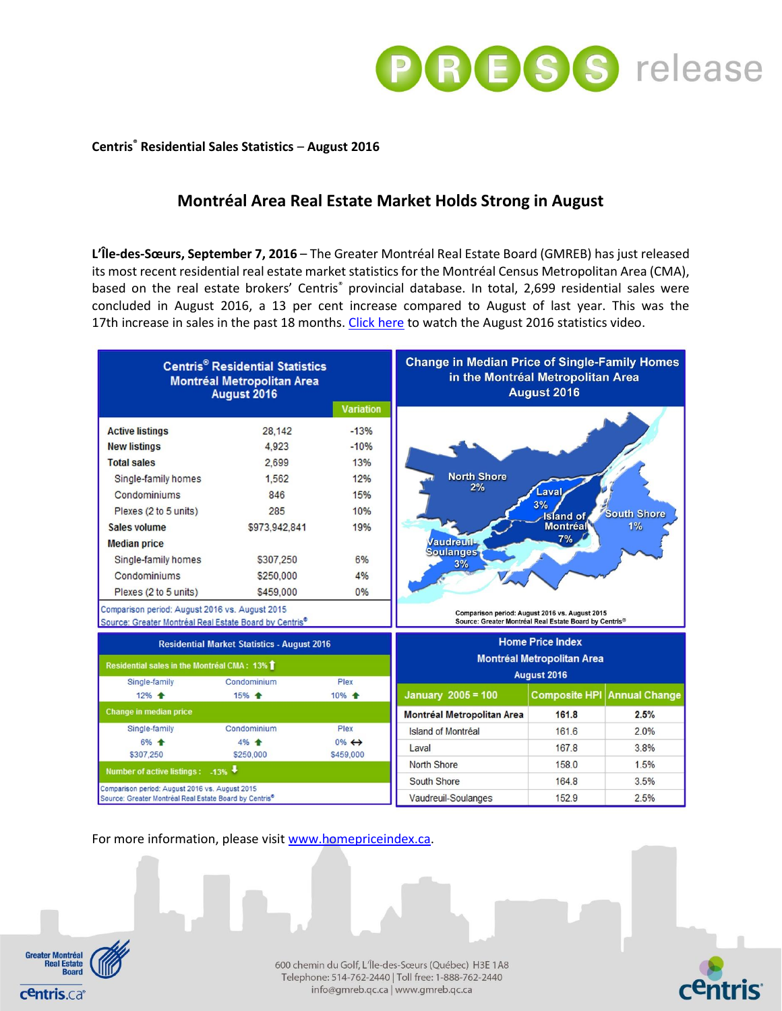

# **Centris® Residential Sales Statistics** – **August 2016**

# **Montréal Area Real Estate Market Holds Strong in August**

**L'Île-des-Sœurs, September 7, 2016** – The Greater Montréal Real Estate Board (GMREB) has just released its most recent residential real estate market statistics for the Montréal Census Metropolitan Area (CMA), based on the real estate brokers' Centris<sup>®</sup> provincial database. In total, 2,699 residential sales were concluded in August 2016, a 13 per cent increase compared to August of last year. This was the 17th increase in sales in the past 18 months. [Click here](https://youtu.be/EzAf73kqqIg) to watch the August 2016 statistics video.



For more information, please visi[t www.homepriceindex.ca.](http://www.homepriceindex.ca/)



600 chemin du Golf, L'Île-des-Sœurs (Québec) H3E 1A8 Telephone: 514-762-2440 | Toll free: 1-888-762-2440 info@gmreb.qc.ca | www.gmreb.qc.ca

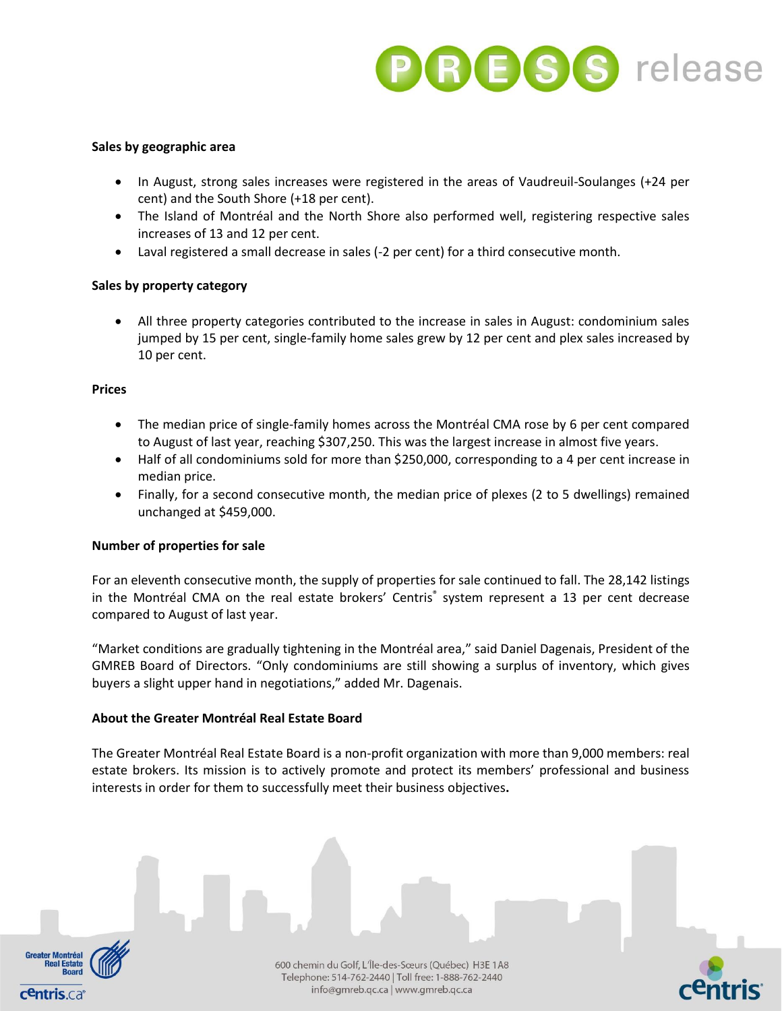

### **Sales by geographic area**

- In August, strong sales increases were registered in the areas of Vaudreuil-Soulanges (+24 per cent) and the South Shore (+18 per cent).
- The Island of Montréal and the North Shore also performed well, registering respective sales increases of 13 and 12 per cent.
- Laval registered a small decrease in sales (-2 per cent) for a third consecutive month.

# **Sales by property category**

 All three property categories contributed to the increase in sales in August: condominium sales jumped by 15 per cent, single-family home sales grew by 12 per cent and plex sales increased by 10 per cent.

### **Prices**

- The median price of single-family homes across the Montréal CMA rose by 6 per cent compared to August of last year, reaching \$307,250. This was the largest increase in almost five years.
- Half of all condominiums sold for more than \$250,000, corresponding to a 4 per cent increase in median price.
- Finally, for a second consecutive month, the median price of plexes (2 to 5 dwellings) remained unchanged at \$459,000.

#### **Number of properties for sale**

For an eleventh consecutive month, the supply of properties for sale continued to fall. The 28,142 listings in the Montréal CMA on the real estate brokers' Centris® system represent a 13 per cent decrease compared to August of last year.

"Market conditions are gradually tightening in the Montréal area," said Daniel Dagenais, President of the GMREB Board of Directors. "Only condominiums are still showing a surplus of inventory, which gives buyers a slight upper hand in negotiations," added Mr. Dagenais.

#### **About the Greater Montréal Real Estate Board**

The Greater Montréal Real Estate Board is a non-profit organization with more than 9,000 members: real estate brokers. Its mission is to actively promote and protect its members' professional and business interests in order for them to successfully meet their business objectives**.**



600 chemin du Golf, L'Île-des-Sœurs (Québec) H3E 1A8 Telephone: 514-762-2440 | Toll free: 1-888-762-2440 info@gmreb.qc.ca | www.gmreb.qc.ca